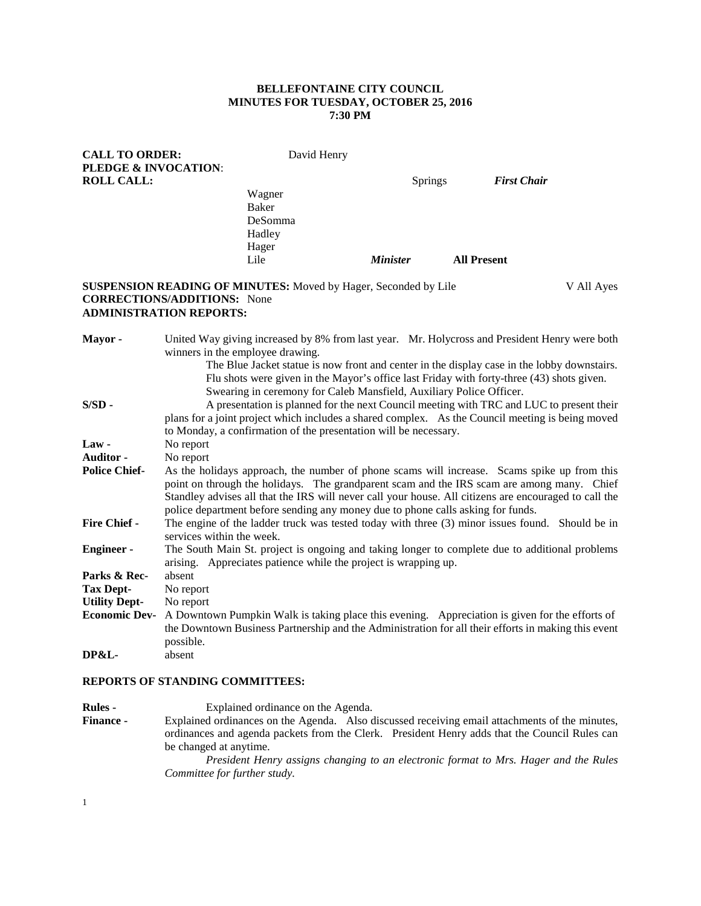### **BELLEFONTAINE CITY COUNCIL MINUTES FOR TUESDAY, OCTOBER 25, 2016 7:30 PM**

| <b>CALL TO ORDER:</b>                                           | David Henry |                        |                |                    |            |
|-----------------------------------------------------------------|-------------|------------------------|----------------|--------------------|------------|
| <b>PLEDGE &amp; INVOCATION:</b>                                 |             |                        |                |                    |            |
| <b>ROLL CALL:</b>                                               |             |                        | <b>Springs</b> | <b>First Chair</b> |            |
|                                                                 | Wagner      |                        |                |                    |            |
|                                                                 | Baker       |                        |                |                    |            |
|                                                                 | DeSomma     |                        |                |                    |            |
|                                                                 | Hadley      |                        |                |                    |            |
|                                                                 | Hager       |                        |                |                    |            |
|                                                                 | Lile        | <i><b>Minister</b></i> |                | <b>All Present</b> |            |
| SUSPENSION READING OF MINUTES: Moved by Hager, Seconded by Lile |             |                        |                |                    | V All Ayes |
| <b>CORRECTIONS/ADDITIONS:</b> None                              |             |                        |                |                    |            |

# **ADMINISTRATION REPORTS:**

| Mayor -              | United Way giving increased by 8% from last year. Mr. Holycross and President Henry were both<br>winners in the employee drawing. |  |  |  |  |
|----------------------|-----------------------------------------------------------------------------------------------------------------------------------|--|--|--|--|
|                      | The Blue Jacket statue is now front and center in the display case in the lobby downstairs.                                       |  |  |  |  |
|                      | Flu shots were given in the Mayor's office last Friday with forty-three (43) shots given.                                         |  |  |  |  |
|                      | Swearing in ceremony for Caleb Mansfield, Auxiliary Police Officer.                                                               |  |  |  |  |
| $S/SD -$             | A presentation is planned for the next Council meeting with TRC and LUC to present their                                          |  |  |  |  |
|                      | plans for a joint project which includes a shared complex. As the Council meeting is being moved                                  |  |  |  |  |
|                      | to Monday, a confirmation of the presentation will be necessary.                                                                  |  |  |  |  |
| $Law -$              | No report                                                                                                                         |  |  |  |  |
| Auditor -            | No report                                                                                                                         |  |  |  |  |
| <b>Police Chief-</b> | As the holidays approach, the number of phone scams will increase. Scams spike up from this                                       |  |  |  |  |
|                      | point on through the holidays. The grandparent scam and the IRS scam are among many. Chief                                        |  |  |  |  |
|                      | Standley advises all that the IRS will never call your house. All citizens are encouraged to call the                             |  |  |  |  |
|                      | police department before sending any money due to phone calls asking for funds.                                                   |  |  |  |  |
| <b>Fire Chief -</b>  | The engine of the ladder truck was tested today with three (3) minor issues found. Should be in                                   |  |  |  |  |
|                      | services within the week.                                                                                                         |  |  |  |  |
| <b>Engineer-</b>     | The South Main St. project is ongoing and taking longer to complete due to additional problems                                    |  |  |  |  |
|                      | arising. Appreciates patience while the project is wrapping up.                                                                   |  |  |  |  |
| Parks & Rec-         | absent                                                                                                                            |  |  |  |  |
| <b>Tax Dept-</b>     | No report                                                                                                                         |  |  |  |  |
| <b>Utility Dept-</b> | No report                                                                                                                         |  |  |  |  |
| <b>Economic Dev-</b> | A Downtown Pumpkin Walk is taking place this evening. Appreciation is given for the efforts of                                    |  |  |  |  |
|                      | the Downtown Business Partnership and the Administration for all their efforts in making this event                               |  |  |  |  |
|                      | possible.                                                                                                                         |  |  |  |  |
| <b>DP&amp;L-</b>     | absent                                                                                                                            |  |  |  |  |

#### **REPORTS OF STANDING COMMITTEES:**

**Rules -** Explained ordinance on the Agenda.<br>**Finance -** Explained ordinances on the Agenda. Also d Explained ordinances on the Agenda. Also discussed receiving email attachments of the minutes, ordinances and agenda packets from the Clerk. President Henry adds that the Council Rules can be changed at anytime. *President Henry assigns changing to an electronic format to Mrs. Hager and the Rules Committee for further study.*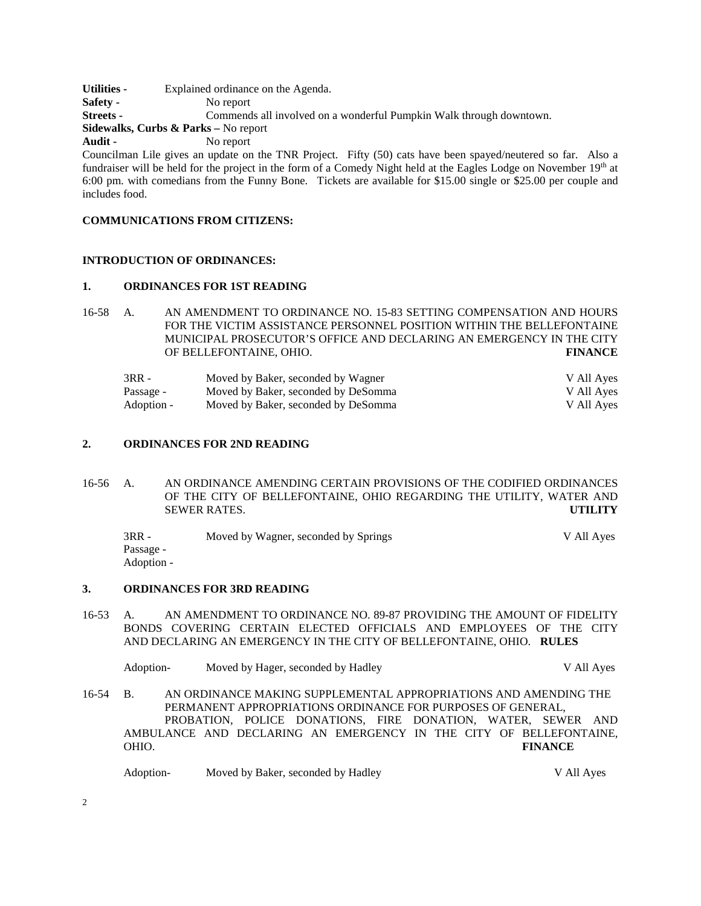**Utilities -** Explained ordinance on the Agenda.<br>**Safety -** No report No report **Streets -** Commends all involved on a wonderful Pumpkin Walk through downtown. **Sidewalks, Curbs & Parks –** No report **Audit -** No report

Councilman Lile gives an update on the TNR Project. Fifty (50) cats have been spayed/neutered so far. Also a fundraiser will be held for the project in the form of a Comedy Night held at the Eagles Lodge on November 19<sup>th</sup> at 6:00 pm. with comedians from the Funny Bone. Tickets are available for \$15.00 single or \$25.00 per couple and includes food.

## **COMMUNICATIONS FROM CITIZENS:**

### **INTRODUCTION OF ORDINANCES:**

### **1. ORDINANCES FOR 1ST READING**

16-58 A. AN AMENDMENT TO ORDINANCE NO. 15-83 SETTING COMPENSATION AND HOURS FOR THE VICTIM ASSISTANCE PERSONNEL POSITION WITHIN THE BELLEFONTAINE MUNICIPAL PROSECUTOR'S OFFICE AND DECLARING AN EMERGENCY IN THE CITY OF BELLEFONTAINE, OHIO. **FINANCE**

| 3RR -      | Moved by Baker, seconded by Wagner  | V All Ayes |
|------------|-------------------------------------|------------|
| Passage -  | Moved by Baker, seconded by DeSomma | V All Ayes |
| Adoption - | Moved by Baker, seconded by DeSomma | V All Aves |

### **2. ORDINANCES FOR 2ND READING**

- 16-56 A. AN ORDINANCE AMENDING CERTAIN PROVISIONS OF THE CODIFIED ORDINANCES OF THE CITY OF BELLEFONTAINE, OHIO REGARDING THE UTILITY, WATER AND SEWER RATES. **UTILITY**
	- 3RR Moved by Wagner, seconded by Springs V All Ayes Passage - Adoption -

#### **3. ORDINANCES FOR 3RD READING**

16-53 A. AN AMENDMENT TO ORDINANCE NO. 89-87 PROVIDING THE AMOUNT OF FIDELITY BONDS COVERING CERTAIN ELECTED OFFICIALS AND EMPLOYEES OF THE CITY AND DECLARING AN EMERGENCY IN THE CITY OF BELLEFONTAINE, OHIO. **RULES**

Adoption- Moved by Hager, seconded by Hadley V All Ayes 16-54 B. AN ORDINANCE MAKING SUPPLEMENTAL APPROPRIATIONS AND AMENDING THE PERMANENT APPROPRIATIONS ORDINANCE FOR PURPOSES OF GENERAL, PROBATION, POLICE DONATIONS, FIRE DONATION, WATER, SEWER AND AMBULANCE AND DECLARING AN EMERGENCY IN THE CITY OF BELLEFONTAINE, OHIO. **FINANCE**

Adoption- Moved by Baker, seconded by Hadley V All Ayes

2